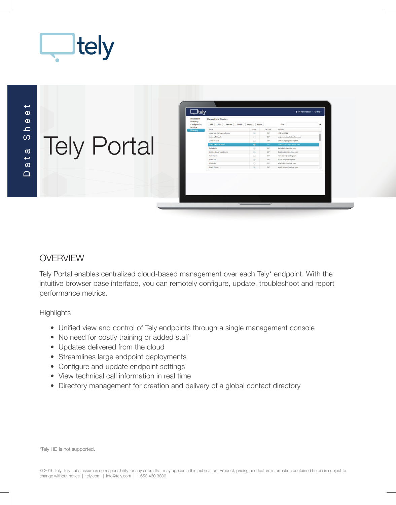

 $\Box$ telv Tely Portal

### **OVERVIEW**

Tely Portal enables centralized cloud-based management over each Tely\* endpoint. With the intuitive browser base interface, you can remotely configure, update, troubleshoot and report performance metrics.

**Highlights** 

- Unified view and control of Tely endpoints through a single management console
- No need for costly training or added staff
- Updates delivered from the cloud
- Streamlines large endpoint deployments
- Configure and update endpoint settings
- View technical call information in real time
- Directory management for creation and delivery of a global contact directory

\*Tely HD is not supported.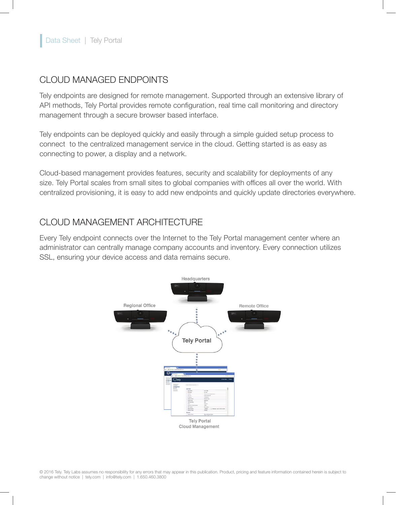#### CLOUD MANAGED ENDPOINTS

Tely endpoints are designed for remote management. Supported through an extensive library of API methods, Tely Portal provides remote configuration, real time call monitoring and directory management through a secure browser based interface.

Tely endpoints can be deployed quickly and easily through a simple guided setup process to connect to the centralized management service in the cloud. Getting started is as easy as connecting to power, a display and a network.

Cloud-based management provides features, security and scalability for deployments of any size. Tely Portal scales from small sites to global companies with offices all over the world. With centralized provisioning, it is easy to add new endpoints and quickly update directories everywhere.

### CLOUD MANAGEMENT ARCHITECTURE

Every Tely endpoint connects over the Internet to the Tely Portal management center where an administrator can centrally manage company accounts and inventory. Every connection utilizes SSL, ensuring your device access and data remains secure.

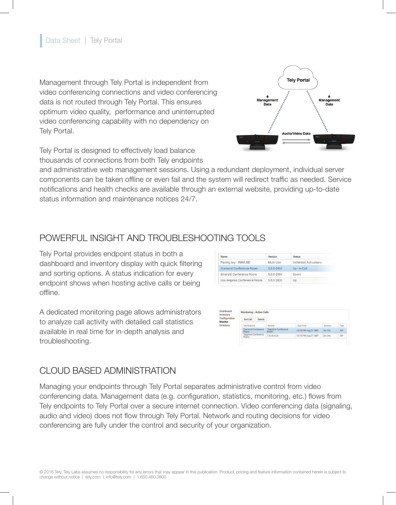Management through Tely Portal is independent from video conferencing connections and video conferencing data is not routed through Tely Portal. This ensures optimum video quality, performance and uninterrupted video conferencing capability with no dependency on Tely Portal.



Tely Portal is designed to effectively load balance thousands of connections from both Tely endpoints

and administrative web management sessions. Using a redundant deployment, individual server components can be taken offline or even fail and the system will redirect traffic as needed. Service notifications and health checks are available through an external website, providing up-to-date status information and maintenance notices 24/7.

# POWERFUL INSIGHT AND TROUBLESHOOTING TOOLS

Tely Portal provides endpoint status in both a dashboard and inventory display with quick filtering and sorting options. A status indication for every endpoint shows when hosting active calls or being offline.

A dedicated monitoring page allows administrators to analyze call activity with detailed call statistics available in real time for in-depth analysis and troubleshooting.

| Name                        | Version    | <b>Status</b>                |
|-----------------------------|------------|------------------------------|
| Pairing key - 4MMJBE        | Multi-Use  | <b>Unlimited Activations</b> |
| Diamond Conference Boom     | 5.0.0-2451 | Up - In Call                 |
| Emerald Conference Room     | 5.0.0-2451 | Down                         |
| Los Angeles Conference Room | 5.0.0-2431 | Up                           |
| Now York Conference Room    | 5002412    | <b>LIA</b>                   |

| Dashboard<br>Inventory                              | <b>Monitoring - Active Calls</b>                          |                               |                     |                 |            |  |
|-----------------------------------------------------|-----------------------------------------------------------|-------------------------------|---------------------|-----------------|------------|--|
| Configuration<br><b>Monitor</b><br><b>Directory</b> | <b>End Call</b><br><b>Details</b><br><b>Tely Endpoint</b> | Remote                        | <b>Start Time</b>   | <b>Duration</b> | Type       |  |
|                                                     |                                                           |                               |                     |                 |            |  |
|                                                     | <b>Diamond Conference</b><br><b>Boom</b>                  | "Sapphire Conference<br>Room" | 10:19 PM Aug 27 GMT | 3m 33s          | SIP        |  |
|                                                     | <b>Sapphire Conference</b><br><b>Room</b>                 | 172.30.4.20                   | 10:19 PM Aug 27 GMT | 3m 34s          | <b>SIP</b> |  |

# CLOUD BASED ADMINISTRATION

Managing your endpoints through Tely Portal separates administrative control from video conferencing data. Management data (e.g. configuration, statistics, monitoring, etc.) flows from Tely endpoints to Tely Portal over a secure internet connection. Video conferencing data (signaling, audio and video) does not flow through Tely Portal. Network and routing decisions for video conferencing are fully under the control and security of your organization.